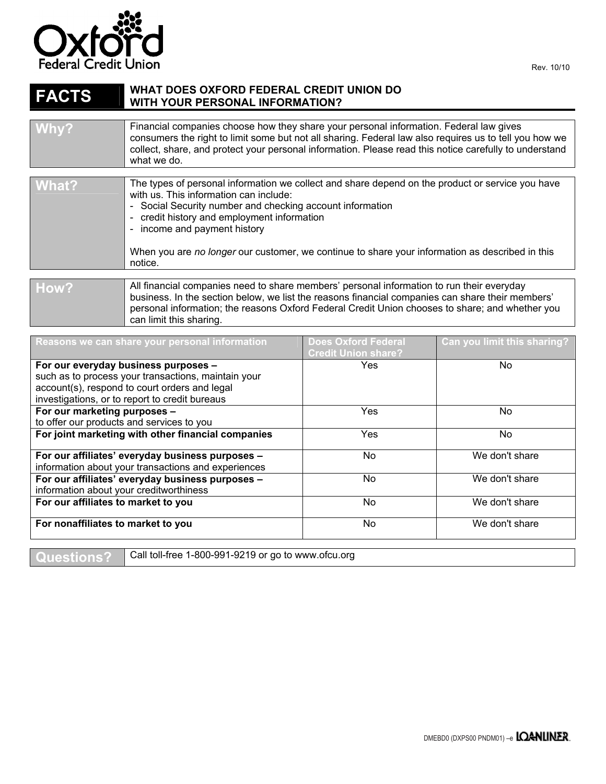

## **FACTS** WHAT DOES OXFORD FEDERAL CREDIT UNION DO WITH YOUR PERSONAL INFORMATION? **WITH YOUR PERSONAL INFORMATION?**

can limit this sharing.

| Why?  | Financial companies choose how they share your personal information. Federal law gives<br>consumers the right to limit some but not all sharing. Federal law also requires us to tell you how we |
|-------|--------------------------------------------------------------------------------------------------------------------------------------------------------------------------------------------------|
|       | collect, share, and protect your personal information. Please read this notice carefully to understand<br>what we do.                                                                            |
|       |                                                                                                                                                                                                  |
| What? | The types of personal information we collect and share depend on the product or service you have                                                                                                 |

|      | with us. This information can include:<br>- Social Security number and checking account information<br>- credit history and employment information<br>- income and payment history<br>When you are no longer our customer, we continue to share your information as described in this<br>notice. |
|------|--------------------------------------------------------------------------------------------------------------------------------------------------------------------------------------------------------------------------------------------------------------------------------------------------|
|      |                                                                                                                                                                                                                                                                                                  |
| How? | All financial companies need to share members' personal information to run their everyday<br>business. In the section below, we list the reasons financial companies can share their members'                                                                                                    |

personal information; the reasons Oxford Federal Credit Union chooses to share; and whether you

| Reasons we can share your personal information      | <b>Does Oxford Federal</b><br><b>Credit Union share?</b> | Can you limit this sharing? |
|-----------------------------------------------------|----------------------------------------------------------|-----------------------------|
| For our everyday business purposes -                | Yes                                                      | No                          |
| such as to process your transactions, maintain your |                                                          |                             |
| account(s), respond to court orders and legal       |                                                          |                             |
| investigations, or to report to credit bureaus      |                                                          |                             |
| For our marketing purposes -                        | Yes                                                      | <b>No</b>                   |
| to offer our products and services to you           |                                                          |                             |
| For joint marketing with other financial companies  | Yes                                                      | No                          |
|                                                     |                                                          |                             |
| For our affiliates' everyday business purposes -    | No.                                                      | We don't share              |
| information about your transactions and experiences |                                                          |                             |
| For our affiliates' everyday business purposes -    | No.                                                      | We don't share              |
| information about your creditworthiness             |                                                          |                             |
| For our affiliates to market to you                 | <b>No</b>                                                | We don't share              |
|                                                     |                                                          |                             |
| For nonaffiliates to market to you                  | No.                                                      | We don't share              |
|                                                     |                                                          |                             |

Questions? <sup>|</sup> Call toll-free 1-800-991-9219 or go to www.ofcu.org

Rev. 10/10